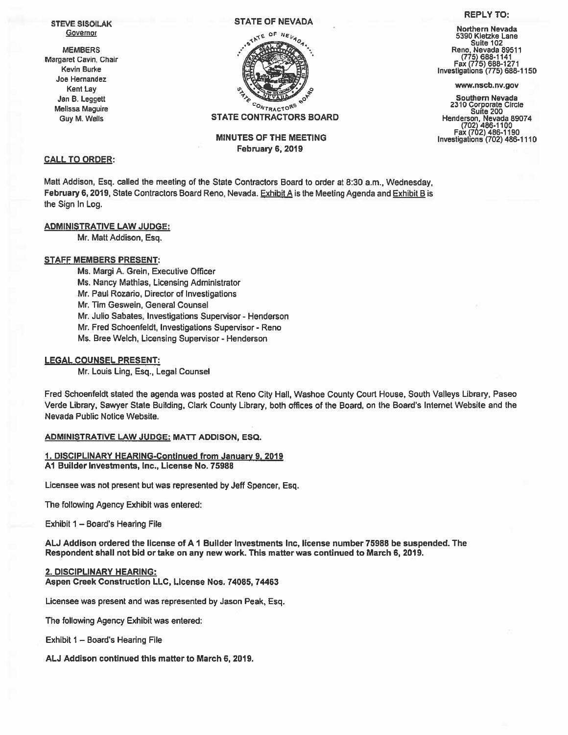STEVE SISOILAK Governor

MEMBERS Margaret Cavin, Chair Kevin Burke Joe Hernandez Kent Lay Jan B. Leggett Melissa Maguire Guy M. Wells

#### STATE OF NEVADA



MINUTES OF THE MEETING February 6, 2019

# CALL TO ORDER:

Matt Addison, Esq. called the meeting of the State Contractors Board to order at 8:30 am., Wednesday, February 6, 2019, State Contractors Board Reno, Nevada. Exhibit A is the Meeting Agenda and Exhibit B is the Sign In Log.

## ADMINISTRATIVE LAW JUDGE:

Mr. Matt Addison, Esq.

## STAFF MEMBERS PRESENT:

Ms. Margi A. Grein, Executive Officer

Ms. Nancy Mathias, Licensing Administrator

Mr. Paul Rozario, Director of Investigations

Mr. Tim Geswein, General Counsel

Mr. Julio Sabates, Investigations Supervisor - Henderson

Mr. Fred Schoenfeldt, Investigations Supervisor - Reno

Ms. Bree Welch, Licensing Supervisor - Henderson

## LEGAL COUNSEL PRESENT:

Mr. Louis Ling, Esq., Legal Counsel

Fred Schoenfeldt stated the agenda was posted at Reno City Hall, Washoe County Court House, South Valleys Library, Paseo Verde Library, Sawyer State Building, Clark County Library, both offices of the Board, on the Board's Internet Website and the Nevada Public Notice Website.

#### ADMINISTRATIVE LAW JUDGE: MATE ADDISON, ESQ.

## 1. DISCIPLINARY HEARING-Continued from January 9, 2019 Al Builder Investments, Inc., License No. 75988

Licensee was not presen<sup>t</sup> but was represented by Jeff Spencer, Esq.

The following Agency Exhibit was entered:

Exhibit 1 — Board's Hearing File

AU Addison ordered the license of Al Builder Investments Inc, license number 75988 be suspended. The Respondent shall not bid or take on any new work. This matter was continued to March 6,2019.

#### 2. DISCIPLINARY HEARING:

Aspen Creek Construction LLC, License Nos. 74085, 744B3

Licensee was presen<sup>t</sup> and was represented by Jason Peak, Esq.

The following Agency Exhibit was entered:

Exhibit 1 — Board's Hearing File

AU Addison continued this matter to March 6,2019.

## REPLY TO:

Northern Nevada 5390 Kietzke Lane Suite 102 Reno, Nevada 89511<br>(775) 688-1141 (775) 688-1141 Fax (775) 688-1271 Investigations (775)688-1150

www.nscb.nv.gov

Southern Nevada <sup>2310</sup> Corporate Circle Suite <sup>200</sup> Henderson, Nevada 89074 (702) 486-1100 Fax (702) 486-1190 Investigations (702) 486-1110